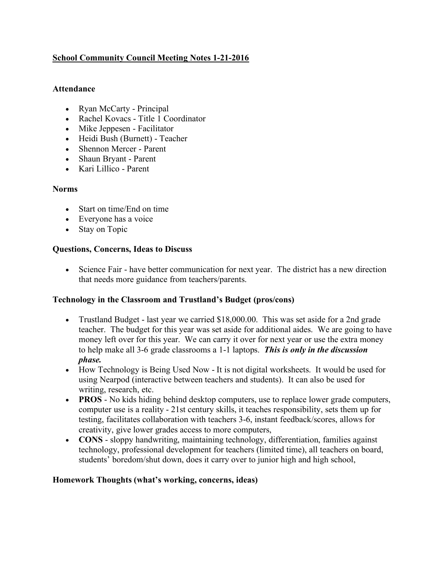# **School Community Council Meeting Notes 1-21-2016**

### **Attendance**

- Ryan McCarty Principal
- Rachel Kovacs Title 1 Coordinator
- Mike Jeppesen Facilitator
- Heidi Bush (Burnett) Teacher
- Shennon Mercer Parent
- Shaun Bryant Parent
- Kari Lillico Parent

### **Norms**

- Start on time/End on time
- Everyone has a voice
- Stay on Topic

# **Questions, Concerns, Ideas to Discuss**

• Science Fair - have better communication for next year. The district has a new direction that needs more guidance from teachers/parents.

# **Technology in the Classroom and Trustland's Budget (pros/cons)**

- Trustland Budget last year we carried \$18,000.00. This was set aside for a 2nd grade teacher. The budget for this year was set aside for additional aides. We are going to have money left over for this year. We can carry it over for next year or use the extra money to help make all 3-6 grade classrooms a 1-1 laptops. *This is only in the discussion phase.*
- How Technology is Being Used Now It is not digital worksheets. It would be used for using Nearpod (interactive between teachers and students). It can also be used for writing, research, etc.
- **PROS** No kids hiding behind desktop computers, use to replace lower grade computers, computer use is a reality - 21st century skills, it teaches responsibility, sets them up for testing, facilitates collaboration with teachers 3-6, instant feedback/scores, allows for creativity, give lower grades access to more computers,
- **CONS** sloppy handwriting, maintaining technology, differentiation, families against technology, professional development for teachers (limited time), all teachers on board, students' boredom/shut down, does it carry over to junior high and high school,

# **Homework Thoughts (what's working, concerns, ideas)**